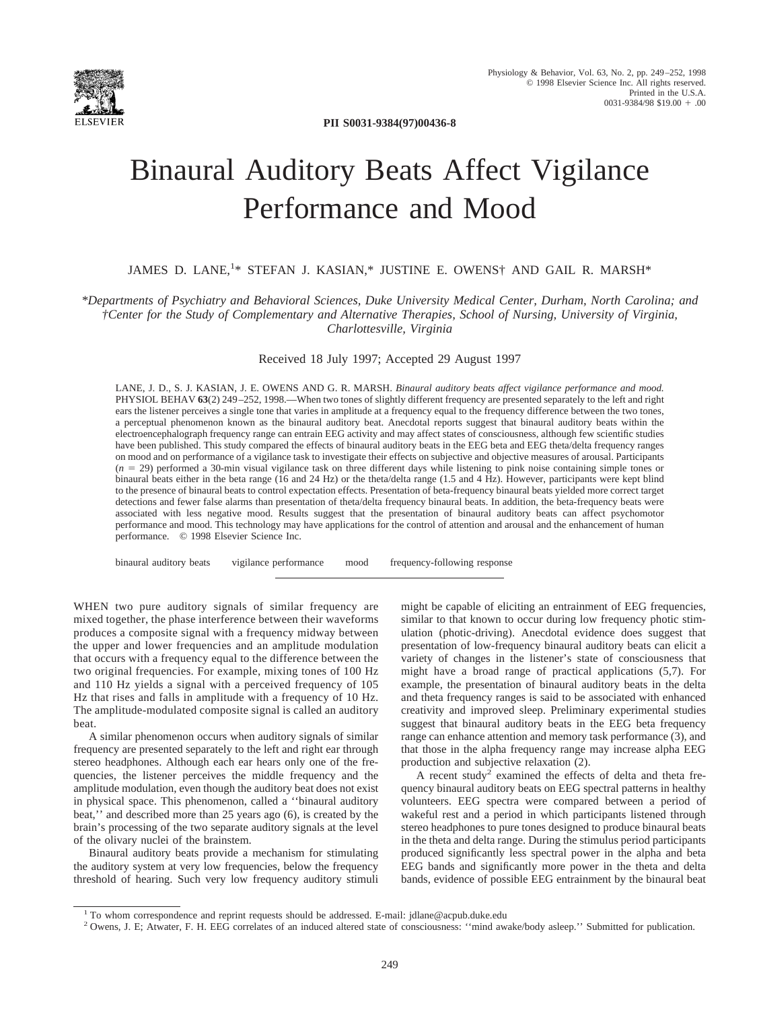

**PII S0031-9384(97)00436-8**

# Binaural Auditory Beats Affect Vigilance Performance and Mood

## JAMES D. LANE,<sup>1\*</sup> STEFAN J. KASIAN,\* JUSTINE E. OWENS<sup>†</sup> AND GAIL R. MARSH\*

*\*Departments of Psychiatry and Behavioral Sciences, Duke University Medical Center, Durham, North Carolina; and †Center for the Study of Complementary and Alternative Therapies, School of Nursing, University of Virginia, Charlottesville, Virginia*

## Received 18 July 1997; Accepted 29 August 1997

LANE, J. D., S. J. KASIAN, J. E. OWENS AND G. R. MARSH. *Binaural auditory beats affect vigilance performance and mood.* PHYSIOL BEHAV **63**(2) 249–252, 1998.—When two tones of slightly different frequency are presented separately to the left and right ears the listener perceives a single tone that varies in amplitude at a frequency equal to the frequency difference between the two tones, a perceptual phenomenon known as the binaural auditory beat. Anecdotal reports suggest that binaural auditory beats within the electroencephalograph frequency range can entrain EEG activity and may affect states of consciousness, although few scientific studies have been published. This study compared the effects of binaural auditory beats in the EEG beta and EEG theta/delta frequency ranges on mood and on performance of a vigilance task to investigate their effects on subjective and objective measures of arousal. Participants (*n* 5 29) performed a 30-min visual vigilance task on three different days while listening to pink noise containing simple tones or binaural beats either in the beta range (16 and 24 Hz) or the theta/delta range (1.5 and 4 Hz). However, participants were kept blind to the presence of binaural beats to control expectation effects. Presentation of beta-frequency binaural beats yielded more correct target detections and fewer false alarms than presentation of theta/delta frequency binaural beats. In addition, the beta-frequency beats were associated with less negative mood. Results suggest that the presentation of binaural auditory beats can affect psychomotor performance and mood. This technology may have applications for the control of attention and arousal and the enhancement of human performance. © 1998 Elsevier Science Inc.

binaural auditory beats vigilance performance mood frequency-following response

WHEN two pure auditory signals of similar frequency are mixed together, the phase interference between their waveforms produces a composite signal with a frequency midway between the upper and lower frequencies and an amplitude modulation that occurs with a frequency equal to the difference between the two original frequencies. For example, mixing tones of 100 Hz and 110 Hz yields a signal with a perceived frequency of 105 Hz that rises and falls in amplitude with a frequency of 10 Hz. The amplitude-modulated composite signal is called an auditory beat.

A similar phenomenon occurs when auditory signals of similar frequency are presented separately to the left and right ear through stereo headphones. Although each ear hears only one of the frequencies, the listener perceives the middle frequency and the amplitude modulation, even though the auditory beat does not exist in physical space. This phenomenon, called a ''binaural auditory beat,'' and described more than 25 years ago (6), is created by the brain's processing of the two separate auditory signals at the level of the olivary nuclei of the brainstem.

Binaural auditory beats provide a mechanism for stimulating the auditory system at very low frequencies, below the frequency threshold of hearing. Such very low frequency auditory stimuli might be capable of eliciting an entrainment of EEG frequencies, similar to that known to occur during low frequency photic stimulation (photic-driving). Anecdotal evidence does suggest that presentation of low-frequency binaural auditory beats can elicit a variety of changes in the listener's state of consciousness that might have a broad range of practical applications (5,7). For example, the presentation of binaural auditory beats in the delta and theta frequency ranges is said to be associated with enhanced creativity and improved sleep. Preliminary experimental studies suggest that binaural auditory beats in the EEG beta frequency range can enhance attention and memory task performance (3), and that those in the alpha frequency range may increase alpha EEG production and subjective relaxation (2).

A recent study<sup>2</sup> examined the effects of delta and theta frequency binaural auditory beats on EEG spectral patterns in healthy volunteers. EEG spectra were compared between a period of wakeful rest and a period in which participants listened through stereo headphones to pure tones designed to produce binaural beats in the theta and delta range. During the stimulus period participants produced significantly less spectral power in the alpha and beta EEG bands and significantly more power in the theta and delta bands, evidence of possible EEG entrainment by the binaural beat

<sup>1</sup> To whom correspondence and reprint requests should be addressed. E-mail: jdlane@acpub.duke.edu

<sup>&</sup>lt;sup>2</sup> Owens, J. E; Atwater, F. H. EEG correlates of an induced altered state of consciousness: "mind awake/body asleep." Submitted for publication.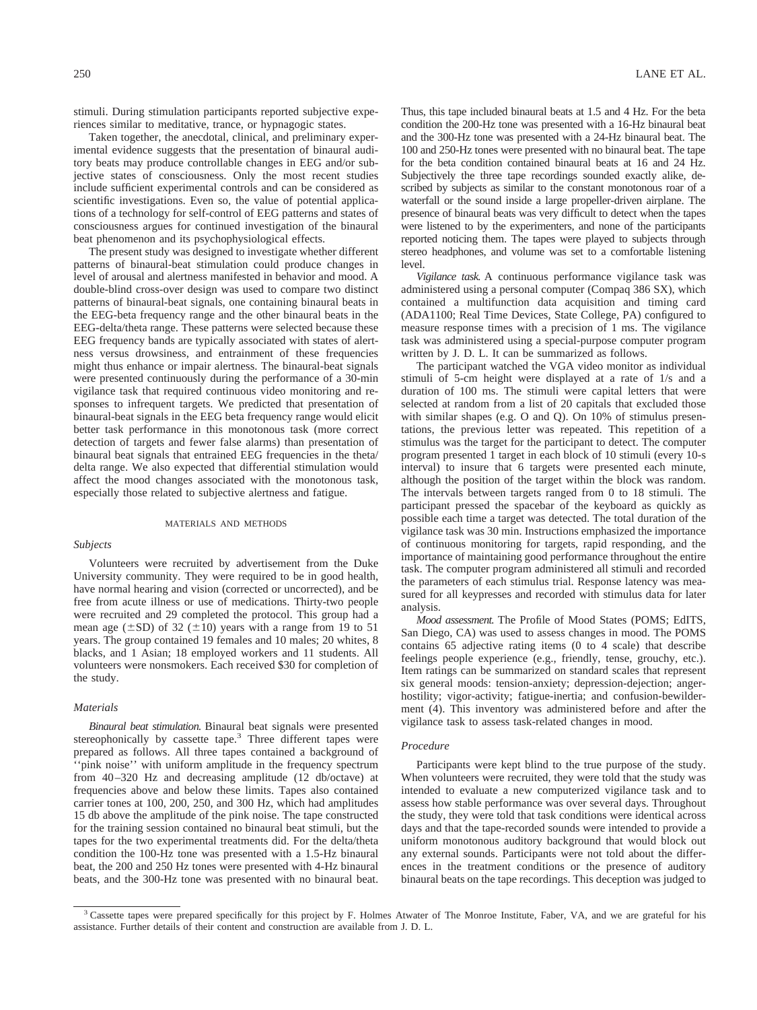stimuli. During stimulation participants reported subjective experiences similar to meditative, trance, or hypnagogic states.

Taken together, the anecdotal, clinical, and preliminary experimental evidence suggests that the presentation of binaural auditory beats may produce controllable changes in EEG and/or subjective states of consciousness. Only the most recent studies include sufficient experimental controls and can be considered as scientific investigations. Even so, the value of potential applications of a technology for self-control of EEG patterns and states of consciousness argues for continued investigation of the binaural beat phenomenon and its psychophysiological effects.

The present study was designed to investigate whether different patterns of binaural-beat stimulation could produce changes in level of arousal and alertness manifested in behavior and mood. A double-blind cross-over design was used to compare two distinct patterns of binaural-beat signals, one containing binaural beats in the EEG-beta frequency range and the other binaural beats in the EEG-delta/theta range. These patterns were selected because these EEG frequency bands are typically associated with states of alertness versus drowsiness, and entrainment of these frequencies might thus enhance or impair alertness. The binaural-beat signals were presented continuously during the performance of a 30-min vigilance task that required continuous video monitoring and responses to infrequent targets. We predicted that presentation of binaural-beat signals in the EEG beta frequency range would elicit better task performance in this monotonous task (more correct detection of targets and fewer false alarms) than presentation of binaural beat signals that entrained EEG frequencies in the theta/ delta range. We also expected that differential stimulation would affect the mood changes associated with the monotonous task, especially those related to subjective alertness and fatigue.

#### MATERIALS AND METHODS

## *Subjects*

Volunteers were recruited by advertisement from the Duke University community. They were required to be in good health, have normal hearing and vision (corrected or uncorrected), and be free from acute illness or use of medications. Thirty-two people were recruited and 29 completed the protocol. This group had a mean age ( $\pm$ SD) of 32 ( $\pm$ 10) years with a range from 19 to 51 years. The group contained 19 females and 10 males; 20 whites, 8 blacks, and 1 Asian; 18 employed workers and 11 students. All volunteers were nonsmokers. Each received \$30 for completion of the study.

## *Materials*

*Binaural beat stimulation.* Binaural beat signals were presented stereophonically by cassette tape.<sup>3</sup> Three different tapes were prepared as follows. All three tapes contained a background of ''pink noise'' with uniform amplitude in the frequency spectrum from 40–320 Hz and decreasing amplitude (12 db/octave) at frequencies above and below these limits. Tapes also contained carrier tones at 100, 200, 250, and 300 Hz, which had amplitudes 15 db above the amplitude of the pink noise. The tape constructed for the training session contained no binaural beat stimuli, but the tapes for the two experimental treatments did. For the delta/theta condition the 100-Hz tone was presented with a 1.5-Hz binaural beat, the 200 and 250 Hz tones were presented with 4-Hz binaural beats, and the 300-Hz tone was presented with no binaural beat.

Thus, this tape included binaural beats at 1.5 and 4 Hz. For the beta condition the 200-Hz tone was presented with a 16-Hz binaural beat and the 300-Hz tone was presented with a 24-Hz binaural beat. The 100 and 250-Hz tones were presented with no binaural beat. The tape for the beta condition contained binaural beats at 16 and 24 Hz. Subjectively the three tape recordings sounded exactly alike, described by subjects as similar to the constant monotonous roar of a waterfall or the sound inside a large propeller-driven airplane. The presence of binaural beats was very difficult to detect when the tapes were listened to by the experimenters, and none of the participants reported noticing them. The tapes were played to subjects through stereo headphones, and volume was set to a comfortable listening level.

*Vigilance task.* A continuous performance vigilance task was administered using a personal computer (Compaq 386 SX), which contained a multifunction data acquisition and timing card (ADA1100; Real Time Devices, State College, PA) configured to measure response times with a precision of 1 ms. The vigilance task was administered using a special-purpose computer program written by J. D. L. It can be summarized as follows.

The participant watched the VGA video monitor as individual stimuli of 5-cm height were displayed at a rate of 1/s and a duration of 100 ms. The stimuli were capital letters that were selected at random from a list of 20 capitals that excluded those with similar shapes (e.g. O and Q). On 10% of stimulus presentations, the previous letter was repeated. This repetition of a stimulus was the target for the participant to detect. The computer program presented 1 target in each block of 10 stimuli (every 10-s interval) to insure that 6 targets were presented each minute, although the position of the target within the block was random. The intervals between targets ranged from 0 to 18 stimuli. The participant pressed the spacebar of the keyboard as quickly as possible each time a target was detected. The total duration of the vigilance task was 30 min. Instructions emphasized the importance of continuous monitoring for targets, rapid responding, and the importance of maintaining good performance throughout the entire task. The computer program administered all stimuli and recorded the parameters of each stimulus trial. Response latency was measured for all keypresses and recorded with stimulus data for later analysis.

*Mood assessment.* The Profile of Mood States (POMS; EdITS, San Diego, CA) was used to assess changes in mood. The POMS contains 65 adjective rating items (0 to 4 scale) that describe feelings people experience (e.g., friendly, tense, grouchy, etc.). Item ratings can be summarized on standard scales that represent six general moods: tension-anxiety; depression-dejection; angerhostility; vigor-activity; fatigue-inertia; and confusion-bewilderment (4). This inventory was administered before and after the vigilance task to assess task-related changes in mood.

#### *Procedure*

Participants were kept blind to the true purpose of the study. When volunteers were recruited, they were told that the study was intended to evaluate a new computerized vigilance task and to assess how stable performance was over several days. Throughout the study, they were told that task conditions were identical across days and that the tape-recorded sounds were intended to provide a uniform monotonous auditory background that would block out any external sounds. Participants were not told about the differences in the treatment conditions or the presence of auditory binaural beats on the tape recordings. This deception was judged to

<sup>&</sup>lt;sup>3</sup> Cassette tapes were prepared specifically for this project by F. Holmes Atwater of The Monroe Institute, Faber, VA, and we are grateful for his assistance. Further details of their content and construction are available from J. D. L.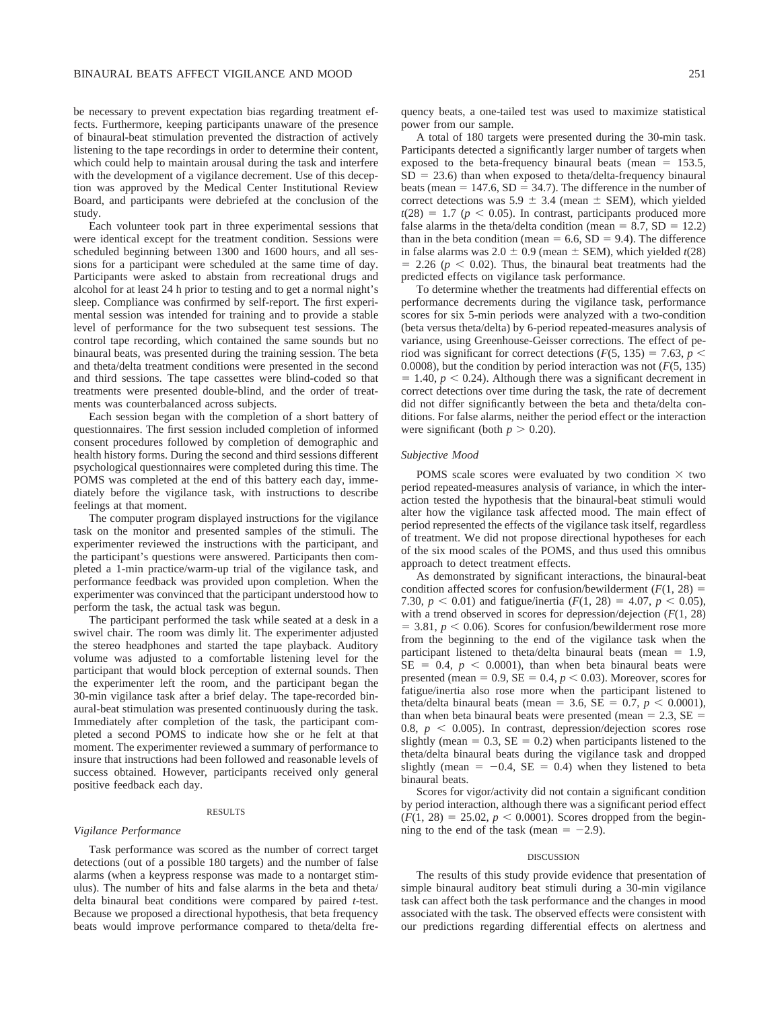be necessary to prevent expectation bias regarding treatment effects. Furthermore, keeping participants unaware of the presence of binaural-beat stimulation prevented the distraction of actively listening to the tape recordings in order to determine their content, which could help to maintain arousal during the task and interfere with the development of a vigilance decrement. Use of this deception was approved by the Medical Center Institutional Review Board, and participants were debriefed at the conclusion of the study.

Each volunteer took part in three experimental sessions that were identical except for the treatment condition. Sessions were scheduled beginning between 1300 and 1600 hours, and all sessions for a participant were scheduled at the same time of day. Participants were asked to abstain from recreational drugs and alcohol for at least 24 h prior to testing and to get a normal night's sleep. Compliance was confirmed by self-report. The first experimental session was intended for training and to provide a stable level of performance for the two subsequent test sessions. The control tape recording, which contained the same sounds but no binaural beats, was presented during the training session. The beta and theta/delta treatment conditions were presented in the second and third sessions. The tape cassettes were blind-coded so that treatments were presented double-blind, and the order of treatments was counterbalanced across subjects.

Each session began with the completion of a short battery of questionnaires. The first session included completion of informed consent procedures followed by completion of demographic and health history forms. During the second and third sessions different psychological questionnaires were completed during this time. The POMS was completed at the end of this battery each day, immediately before the vigilance task, with instructions to describe feelings at that moment.

The computer program displayed instructions for the vigilance task on the monitor and presented samples of the stimuli. The experimenter reviewed the instructions with the participant, and the participant's questions were answered. Participants then completed a 1-min practice/warm-up trial of the vigilance task, and performance feedback was provided upon completion. When the experimenter was convinced that the participant understood how to perform the task, the actual task was begun.

The participant performed the task while seated at a desk in a swivel chair. The room was dimly lit. The experimenter adjusted the stereo headphones and started the tape playback. Auditory volume was adjusted to a comfortable listening level for the participant that would block perception of external sounds. Then the experimenter left the room, and the participant began the 30-min vigilance task after a brief delay. The tape-recorded binaural-beat stimulation was presented continuously during the task. Immediately after completion of the task, the participant completed a second POMS to indicate how she or he felt at that moment. The experimenter reviewed a summary of performance to insure that instructions had been followed and reasonable levels of success obtained. However, participants received only general positive feedback each day.

#### RESULTS

## *Vigilance Performance*

Task performance was scored as the number of correct target detections (out of a possible 180 targets) and the number of false alarms (when a keypress response was made to a nontarget stimulus). The number of hits and false alarms in the beta and theta/ delta binaural beat conditions were compared by paired *t*-test. Because we proposed a directional hypothesis, that beta frequency beats would improve performance compared to theta/delta frequency beats, a one-tailed test was used to maximize statistical power from our sample.

A total of 180 targets were presented during the 30-min task. Participants detected a significantly larger number of targets when exposed to the beta-frequency binaural beats (mean  $= 153.5$ ,  $SD = 23.6$ ) than when exposed to theta/delta-frequency binaural beats (mean  $= 147.6$ , SD  $= 34.7$ ). The difference in the number of correct detections was  $5.9 \pm 3.4$  (mean  $\pm$  SEM), which yielded  $t(28) = 1.7$  ( $p < 0.05$ ). In contrast, participants produced more false alarms in the theta/delta condition (mean =  $8.7$ , SD = 12.2) than in the beta condition (mean  $= 6.6$ , SD  $= 9.4$ ). The difference in false alarms was  $2.0 \pm 0.9$  (mean  $\pm$  SEM), which yielded *t*(28)  $= 2.26$  ( $p < 0.02$ ). Thus, the binaural beat treatments had the predicted effects on vigilance task performance.

To determine whether the treatments had differential effects on performance decrements during the vigilance task, performance scores for six 5-min periods were analyzed with a two-condition (beta versus theta/delta) by 6-period repeated-measures analysis of variance, using Greenhouse-Geisser corrections. The effect of period was significant for correct detections  $(F(5, 135) = 7.63, p <$ 0.0008), but the condition by period interaction was not (*F*(5, 135)  $= 1.40, p < 0.24$ ). Although there was a significant decrement in correct detections over time during the task, the rate of decrement did not differ significantly between the beta and theta/delta conditions. For false alarms, neither the period effect or the interaction were significant (both  $p > 0.20$ ).

## *Subjective Mood*

POMS scale scores were evaluated by two condition  $\times$  two period repeated-measures analysis of variance, in which the interaction tested the hypothesis that the binaural-beat stimuli would alter how the vigilance task affected mood. The main effect of period represented the effects of the vigilance task itself, regardless of treatment. We did not propose directional hypotheses for each of the six mood scales of the POMS, and thus used this omnibus approach to detect treatment effects.

As demonstrated by significant interactions, the binaural-beat condition affected scores for confusion/bewilderment  $(F(1, 28))$  = 7.30,  $p < 0.01$ ) and fatigue/inertia ( $F(1, 28) = 4.07$ ,  $p < 0.05$ ), with a trend observed in scores for depression/dejection (*F*(1, 28)  $=$  3.81,  $p$  < 0.06). Scores for confusion/bewilderment rose more from the beginning to the end of the vigilance task when the participant listened to theta/delta binaural beats (mean  $= 1.9$ ,  $SE = 0.4$ ,  $p < 0.0001$ ), than when beta binaural beats were presented (mean =  $0.9$ , SE =  $0.4$ ,  $p < 0.03$ ). Moreover, scores for fatigue/inertia also rose more when the participant listened to theta/delta binaural beats (mean = 3.6,  $SE = 0.7$ ,  $p < 0.0001$ ), than when beta binaural beats were presented (mean  $= 2.3$ , SE  $=$ 0.8,  $p < 0.005$ ). In contrast, depression/dejection scores rose slightly (mean =  $0.3$ , SE =  $0.2$ ) when participants listened to the theta/delta binaural beats during the vigilance task and dropped slightly (mean  $= -0.4$ , SE  $= 0.4$ ) when they listened to beta binaural beats.

Scores for vigor/activity did not contain a significant condition by period interaction, although there was a significant period effect  $(F(1, 28) = 25.02, p < 0.0001)$ . Scores dropped from the beginning to the end of the task (mean  $= -2.9$ ).

#### DISCUSSION

The results of this study provide evidence that presentation of simple binaural auditory beat stimuli during a 30-min vigilance task can affect both the task performance and the changes in mood associated with the task. The observed effects were consistent with our predictions regarding differential effects on alertness and